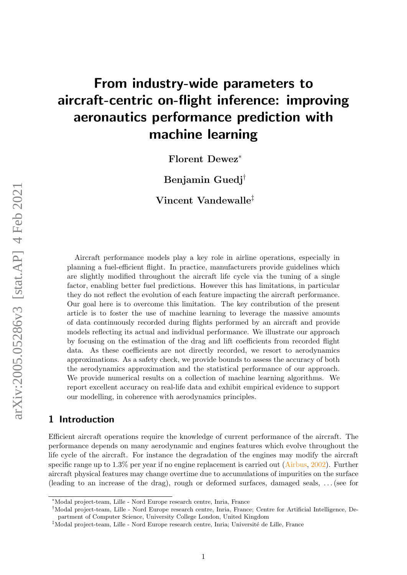# From industry-wide parameters to aircraft-centric on-flight inference: improving aeronautics performance prediction with machine learning

Florent Dewez<sup>∗</sup>

Benjamin Guedj†

Vincent Vandewalle‡

Aircraft performance models play a key role in airline operations, especially in planning a fuel-efficient flight. In practice, manufacturers provide guidelines which are slightly modified throughout the aircraft life cycle via the tuning of a single factor, enabling better fuel predictions. However this has limitations, in particular they do not reflect the evolution of each feature impacting the aircraft performance. Our goal here is to overcome this limitation. The key contribution of the present article is to foster the use of machine learning to leverage the massive amounts of data continuously recorded during flights performed by an aircraft and provide models reflecting its actual and individual performance. We illustrate our approach by focusing on the estimation of the drag and lift coefficients from recorded flight data. As these coefficients are not directly recorded, we resort to aerodynamics approximations. As a safety check, we provide bounds to assess the accuracy of both the aerodynamics approximation and the statistical performance of our approach. We provide numerical results on a collection of machine learning algorithms. We report excellent accuracy on real-life data and exhibit empirical evidence to support our modelling, in coherence with aerodynamics principles.

## 1 Introduction

Efficient aircraft operations require the knowledge of current performance of the aircraft. The performance depends on many aerodynamic and engines features which evolve throughout the life cycle of the aircraft. For instance the degradation of the engines may modify the aircraft specific range up to 1.3% per year if no engine replacement is carried out [\(Airbus,](#page-14-0) [2002\)](#page-14-0). Further aircraft physical features may change overtime due to accumulations of impurities on the surface (leading to an increase of the drag), rough or deformed surfaces, damaged seals, . . . (see for

<sup>∗</sup>Modal project-team, Lille - Nord Europe research centre, Inria, France

<sup>†</sup>Modal project-team, Lille - Nord Europe research centre, Inria, France; Centre for Artificial Intelligence, Department of Computer Science, University College London, United Kingdom

<sup>&</sup>lt;sup>‡</sup>Modal project-team, Lille - Nord Europe research centre, Inria; Université de Lille, France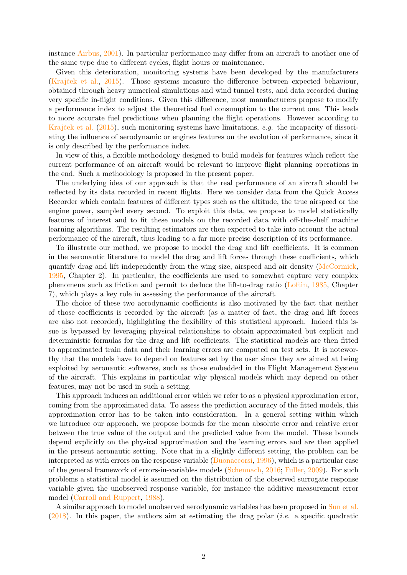instance [Airbus,](#page-14-1) [2001\)](#page-14-1). In particular performance may differ from an aircraft to another one of the same type due to different cycles, flight hours or maintenance.

Given this deterioration, monitoring systems have been developed by the manufacturers  $(Kraiček et al., 2015)$  $(Kraiček et al., 2015)$ . Those systems measure the difference between expected behaviour, obtained through heavy numerical simulations and wind tunnel tests, and data recorded during very specific in-flight conditions. Given this difference, most manufacturers propose to modify a performance index to adjust the theoretical fuel consumption to the current one. This leads to more accurate fuel predictions when planning the flight operations. However according to Krajček et al.  $(2015)$ , such monitoring systems have limitations, e.g. the incapacity of dissociating the influence of aerodynamic or engines features on the evolution of performance, since it is only described by the performance index.

In view of this, a flexible methodology designed to build models for features which reflect the current performance of an aircraft would be relevant to improve flight planning operations in the end. Such a methodology is proposed in the present paper.

The underlying idea of our approach is that the real performance of an aircraft should be reflected by its data recorded in recent flights. Here we consider data from the Quick Access Recorder which contain features of different types such as the altitude, the true airspeed or the engine power, sampled every second. To exploit this data, we propose to model statistically features of interest and to fit these models on the recorded data with off-the-shelf machine learning algorithms. The resulting estimators are then expected to take into account the actual performance of the aircraft, thus leading to a far more precise description of its performance.

To illustrate our method, we propose to model the drag and lift coefficients. It is common in the aeronautic literature to model the drag and lift forces through these coefficients, which quantify drag and lift independently from the wing size, airspeed and air density [\(McCormick,](#page-14-3) [1995,](#page-14-3) Chapter 2). In particular, the coefficients are used to somewhat capture very complex phenomena such as friction and permit to deduce the lift-to-drag ratio [\(Loftin,](#page-14-4) [1985,](#page-14-4) Chapter 7), which plays a key role in assessing the performance of the aircraft.

The choice of these two aerodynamic coefficients is also motivated by the fact that neither of those coefficients is recorded by the aircraft (as a matter of fact, the drag and lift forces are also not recorded), highlighting the flexibility of this statistical approach. Indeed this issue is bypassed by leveraging physical relationships to obtain approximated but explicit and deterministic formulas for the drag and lift coefficients. The statistical models are then fitted to approximated train data and their learning errors are computed on test sets. It is noteworthy that the models have to depend on features set by the user since they are aimed at being exploited by aeronautic softwares, such as those embedded in the Flight Management System of the aircraft. This explains in particular why physical models which may depend on other features, may not be used in such a setting.

This approach induces an additional error which we refer to as a physical approximation error, coming from the approximated data. To assess the prediction accuracy of the fitted models, this approximation error has to be taken into consideration. In a general setting within which we introduce our approach, we propose bounds for the mean absolute error and relative error between the true value of the output and the predicted value from the model. These bounds depend explicitly on the physical approximation and the learning errors and are then applied in the present aeronautic setting. Note that in a slightly different setting, the problem can be interpreted as with errors on the response variable [\(Buonaccorsi,](#page-14-5) [1996\)](#page-14-5), which is a particular case of the general framework of errors-in-variables models [\(Schennach,](#page-14-6) [2016;](#page-14-6) [Fuller,](#page-14-7) [2009\)](#page-14-7). For such problems a statistical model is assumed on the distribution of the observed surrogate response variable given the unobserved response variable, for instance the additive measurement error model [\(Carroll and Ruppert,](#page-14-8) [1988\)](#page-14-8).

A similar approach to model unobserved aerodynamic variables has been proposed in [Sun et al.](#page-14-9)  $(2018)$ . In this paper, the authors aim at estimating the drag polar *(i.e.* a specific quadratic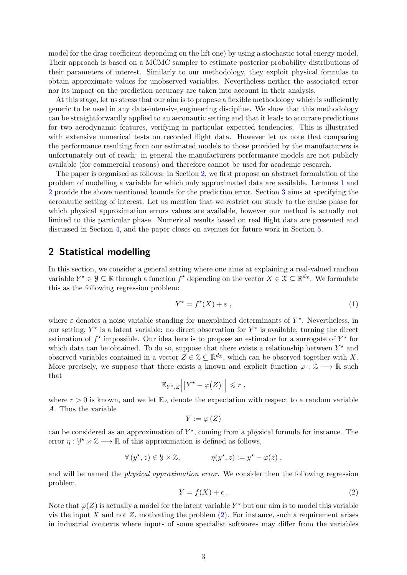model for the drag coefficient depending on the lift one) by using a stochastic total energy model. Their approach is based on a MCMC sampler to estimate posterior probability distributions of their parameters of interest. Similarly to our methodology, they exploit physical formulas to obtain approximate values for unobserved variables. Nevertheless neither the associated error nor its impact on the prediction accuracy are taken into account in their analysis.

At this stage, let us stress that our aim is to propose a flexible methodology which is sufficiently generic to be used in any data-intensive engineering discipline. We show that this methodology can be straightforwardly applied to an aeronautic setting and that it leads to accurate predictions for two aerodynamic features, verifying in particular expected tendencies. This is illustrated with extensive numerical tests on recorded flight data. However let us note that comparing the performance resulting from our estimated models to those provided by the manufacturers is unfortunately out of reach: in general the manufacturers performance models are not publicly available (for commercial reasons) and therefore cannot be used for academic research.

The paper is organised as follows: in Section [2,](#page-2-0) we first propose an abstract formulation of the problem of modelling a variable for which only approximated data are available. Lemmas [1](#page-3-0) and [2](#page-3-1) provide the above mentioned bounds for the prediction error. Section [3](#page-4-0) aims at specifying the aeronautic setting of interest. Let us mention that we restrict our study to the cruise phase for which physical approximation errors values are available, however our method is actually not limited to this particular phase. Numerical results based on real flight data are presented and discussed in Section [4,](#page-8-0) and the paper closes on avenues for future work in Section [5.](#page-13-0)

## <span id="page-2-0"></span>2 Statistical modelling

In this section, we consider a general setting where one aims at explaining a real-valued random variable  $Y^* \in \mathcal{Y} \subseteq \mathbb{R}$  through a function  $f^*$  depending on the vector  $X \in \mathcal{X} \subseteq \mathbb{R}^{d_X}$ . We formulate this as the following regression problem:

<span id="page-2-2"></span>
$$
Y^* = f^*(X) + \varepsilon \,,\tag{1}
$$

where  $\varepsilon$  denotes a noise variable standing for unexplained determinants of  $Y^*$ . Nevertheless, in our setting,  $Y^*$  is a latent variable: no direct observation for  $Y^*$  is available, turning the direct estimation of  $f^*$  impossible. Our idea here is to propose an estimator for a surrogate of  $Y^*$  for which data can be obtained. To do so, suppose that there exists a relationship between  $Y^*$  and observed variables contained in a vector  $Z \in \mathbb{Z} \subseteq \mathbb{R}^{d_{\mathbb{Z}}}$ , which can be observed together with X. More precisely, we suppose that there exists a known and explicit function  $\varphi : \mathcal{Z} \longrightarrow \mathbb{R}$  such that

$$
\mathbb{E}_{Y^{\star},Z}\Big[\big|Y^{\star}-\varphi(Z)\big|\Big]\leqslant r,
$$

where  $r > 0$  is known, and we let  $\mathbb{E}_A$  denote the expectation with respect to a random variable A. Thus the variable

$$
Y:=\varphi\left( Z\right)
$$

can be considered as an approximation of  $Y^*$ , coming from a physical formula for instance. The error  $\eta: \mathcal{Y}^{\star} \times \mathcal{Z} \longrightarrow \mathbb{R}$  of this approximation is defined as follows,

$$
\forall (y^*, z) \in \mathcal{Y} \times \mathcal{Z}, \qquad \eta(y^*, z) := y^* - \varphi(z) ,
$$

and will be named the *physical approximation error*. We consider then the following regression problem,

<span id="page-2-1"></span>
$$
Y = f(X) + \epsilon \tag{2}
$$

Note that  $\varphi(Z)$  is actually a model for the latent variable  $Y^*$  but our aim is to model this variable via the input X and not Z, motivating the problem  $(2)$ . For instance, such a requirement arises in industrial contexts where inputs of some specialist softwares may differ from the variables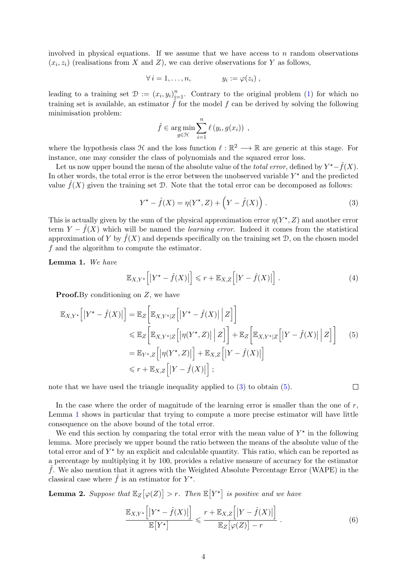involved in physical equations. If we assume that we have access to  $n$  random observations  $(x_i, z_i)$  (realisations from X and Z), we can derive observations for Y as follows,

$$
\forall i=1,\ldots,n, \qquad y_i := \varphi(z_i) ,
$$

leading to a training set  $\mathcal{D} := (x_i, y_i)_{i=1}^n$ . Contrary to the original problem [\(1\)](#page-2-2) for which no training set is available, an estimator  $\hat{f}$  for the model f can be derived by solving the following minimisation problem:

$$
\hat{f} \in \underset{g \in \mathcal{H}}{\arg \min} \sum_{i=1}^{n} \ell(y_i, g(x_i))
$$
,

where the hypothesis class  $\mathcal H$  and the loss function  $\ell : \mathbb{R}^2 \longrightarrow \mathbb{R}$  are generic at this stage. For instance, one may consider the class of polynomials and the squared error loss.

Let us now upper bound the mean of the absolute value of the *total error*, defined by  $Y^*-\hat{f}(X)$ . In other words, the total error is the error between the unobserved variable  $Y^*$  and the predicted value  $\hat{f}(X)$  given the training set D. Note that the total error can be decomposed as follows:

<span id="page-3-2"></span>
$$
Y^* - \hat{f}(X) = \eta(Y^*, Z) + \left(Y - \hat{f}(X)\right). \tag{3}
$$

This is actually given by the sum of the physical approximation error  $\eta(Y^*, Z)$  and another error term  $Y - f(X)$  which will be named the *learning error*. Indeed it comes from the statistical approximation of Y by  $\hat{f}(X)$  and depends specifically on the training set D, on the chosen model f and the algorithm to compute the estimator.

<span id="page-3-0"></span>Lemma 1. We have

<span id="page-3-4"></span>
$$
\mathbb{E}_{X,Y^*}\left[|Y^* - \hat{f}(X)|\right] \leq r + \mathbb{E}_{X,Z}\left[|Y - \hat{f}(X)|\right].\tag{4}
$$

<span id="page-3-3"></span> $\Box$ 

**Proof.**By conditioning on  $Z$ , we have

$$
\mathbb{E}_{X,Y^*}\Big[|Y^* - \hat{f}(X)|\Big] = \mathbb{E}_Z\Big[\mathbb{E}_{X,Y^*|Z}\Big[|Y^* - \hat{f}(X)| | Z\Big]\Big] \n\leq \mathbb{E}_Z\Big[\mathbb{E}_{X,Y^*|Z}\Big[|\eta(Y^*,Z)| | Z\Big]\Big] + \mathbb{E}_Z\Big[\mathbb{E}_{X,Y^*|Z}\Big[|Y - \hat{f}(X)| | Z\Big]\Big] \n= \mathbb{E}_{Y^*,Z}\Big[|\eta(Y^*,Z)|\Big] + \mathbb{E}_{X,Z}\Big[|Y - \hat{f}(X)|\Big] \n\leq r + \mathbb{E}_{X,Z}\Big[|Y - \hat{f}(X)|\Big];
$$
\n(5)

note that we have used the triangle inequality applied to  $(3)$  to obtain  $(5)$ .

In the case where the order of magnitude of the learning error is smaller than the one of  $r$ , Lemma [1](#page-3-0) shows in particular that trying to compute a more precise estimator will have little consequence on the above bound of the total error.

We end this section by comparing the total error with the mean value of  $Y^*$  in the following lemma. More precisely we upper bound the ratio between the means of the absolute value of the total error and of  $Y^*$  by an explicit and calculable quantity. This ratio, which can be reported as a percentage by multiplying it by 100, provides a relative measure of accuracy for the estimator  $\hat{f}$ . We also mention that it agrees with the Weighted Absolute Percentage Error (WAPE) in the classical case where  $\hat{f}$  is an estimator for  $Y^*$ .

<span id="page-3-1"></span>**Lemma 2.** Suppose that  $\mathbb{E}_Z[\varphi(Z)] > r$ . Then  $\mathbb{E}[Y^*]$  is positive and we have

<span id="page-3-5"></span>
$$
\frac{\mathbb{E}_{X,Y^{\star}}\left[|Y^{\star} - \hat{f}(X)|\right]}{\mathbb{E}\left[Y^{\star}\right]} \leqslant \frac{r + \mathbb{E}_{X,Z}\left[|Y - \hat{f}(X)|\right]}{\mathbb{E}_{Z}\left[\varphi(Z)\right] - r} \,. \tag{6}
$$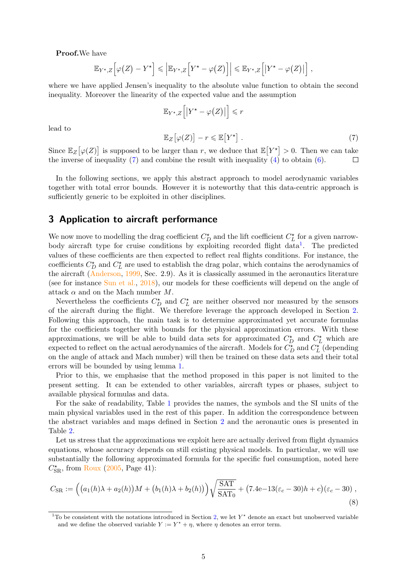Proof.We have

$$
\mathbb{E}_{Y^{\star},Z}\Big[\varphi(Z)-Y^{\star}\Big]\leqslant \Big|\mathbb{E}_{Y^{\star},Z}\Big[Y^{\star}-\varphi(Z)\Big]\Big|\leqslant \mathbb{E}_{Y^{\star},Z}\Big[\big|Y^{\star}-\varphi(Z)\big|\Big]\ ,
$$

where we have applied Jensen's inequality to the absolute value function to obtain the second inequality. Moreover the linearity of the expected value and the assumption

$$
\mathbb{E}_{Y^{\star},Z}\Big[\big|Y^{\star}-\varphi\big(Z\big)\big|\Big]\leqslant r
$$

lead to

<span id="page-4-1"></span>
$$
\mathbb{E}_Z[\varphi(Z)] - r \leq \mathbb{E}[Y^\star]. \tag{7}
$$

Since  $\mathbb{E}_Z[\varphi(Z)]$  is supposed to be larger than r, we deduce that  $\mathbb{E}[Y^*] > 0$ . Then we can take the inverse of inequality [\(7\)](#page-4-1) and combine the result with inequality  $(4)$  to obtain  $(6)$ .  $\Box$ 

In the following sections, we apply this abstract approach to model aerodynamic variables together with total error bounds. However it is noteworthy that this data-centric approach is sufficiently generic to be exploited in other disciplines.

# <span id="page-4-0"></span>3 Application to aircraft performance

We now move to modelling the drag coefficient  $C_D^*$  and the lift coefficient  $C_L^*$  for a given narrow-body aircraft type for cruise conditions by exploiting recorded flight data<sup>[1](#page-4-2)</sup>. The predicted values of these coefficients are then expected to reflect real flights conditions. For instance, the coefficients  $C_D^*$  and  $C_L^*$  are used to establish the drag polar, which contains the aerodynamics of the aircraft [\(Anderson,](#page-14-10) [1999,](#page-14-10) Sec. 2.9). As it is classically assumed in the aeronautics literature (see for instance [Sun et al.,](#page-14-9) [2018\)](#page-14-9), our models for these coefficients will depend on the angle of attack  $\alpha$  and on the Mach number M.

Nevertheless the coefficients  $C_D^*$  and  $C_L^*$  are neither observed nor measured by the sensors of the aircraft during the flight. We therefore leverage the approach developed in Section [2.](#page-2-0) Following this approach, the main task is to determine approximated yet accurate formulas for the coefficients together with bounds for the physical approximation errors. With these approximations, we will be able to build data sets for approximated  $C_D^{\star}$  and  $C_L^{\star}$  which are expected to reflect on the actual aerodynamics of the aircraft. Models for  $C_D^{\star}$  and  $C_L^{\star}$  (depending on the angle of attack and Mach number) will then be trained on these data sets and their total errors will be bounded by using lemma [1.](#page-3-0)

Prior to this, we emphasise that the method proposed in this paper is not limited to the present setting. It can be extended to other variables, aircraft types or phases, subject to available physical formulas and data.

For the sake of readability, Table [1](#page-5-0) provides the names, the symbols and the SI units of the main physical variables used in the rest of this paper. In addition the correspondence between the abstract variables and maps defined in Section [2](#page-2-0) and the aeronautic ones is presented in Table [2.](#page-5-1)

Let us stress that the approximations we exploit here are actually derived from flight dynamics equations, whose accuracy depends on still existing physical models. In particular, we will use substantially the following approximated formula for the specific fuel consumption, noted here  $C_{\rm SR}^*$ , from [Roux](#page-14-11) [\(2005,](#page-14-11) Page 41):

$$
C_{\rm SR} := \left( \left( a_1(h)\lambda + a_2(h) \right) M + \left( b_1(h)\lambda + b_2(h) \right) \right) \sqrt{\frac{\rm SAT}{\rm SAT_0}} + \left( 7.4 \mathrm{e} - 13(\varepsilon_c - 30) h + c \right) (\varepsilon_c - 30) , \tag{8}
$$

<span id="page-4-2"></span><sup>&</sup>lt;sup>1</sup>To be consistent with the notations introduced in Section [2,](#page-2-0) we let  $Y^*$  denote an exact but unobserved variable and we define the observed variable  $Y := Y^* + \eta$ , where  $\eta$  denotes an error term.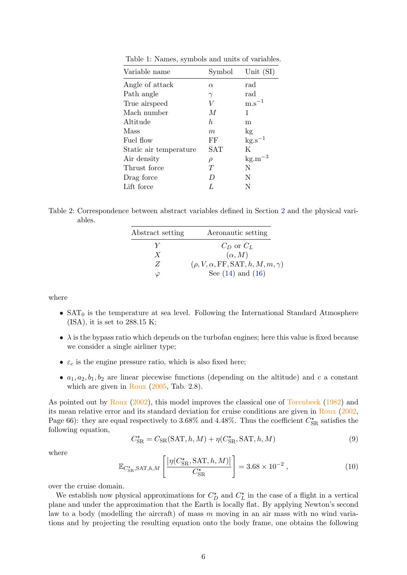| Variable name          | Symbol     | Unit $(SI)$               |
|------------------------|------------|---------------------------|
| Angle of attack        | $\alpha$   | rad                       |
| Path angle             | $\gamma$   | rad                       |
| True airspeed          | V          | $\mathrm{m.s}^{-1}$       |
| Mach number            | М          | 1                         |
| Altitude               | h.         | m                         |
| Mass                   | m          | kg                        |
| Fuel flow              | FF         | $\text{kg.s}^{-1}$        |
| Static air temperature | <b>SAT</b> | Κ                         |
| Air density            | $\rho$     | $\text{kg}.\text{m}^{-3}$ |
| Thrust force           | T          | N                         |
| Drag force             | D          | N                         |
| Lift force             | L          | N                         |
|                        |            |                           |

<span id="page-5-0"></span>Table 1: Names, symbols and units of variables.

<span id="page-5-1"></span>Table 2: Correspondence between abstract variables defined in Section [2](#page-2-0) and the physical variables.

| Abstract setting | Aeronautic setting                            |
|------------------|-----------------------------------------------|
|                  | $C_D$ or $C_L$                                |
| X                | $(\alpha, M)$                                 |
| Z                | $(\rho, V, \alpha, FF, SAT, h, M, m, \gamma)$ |
|                  | See $(14)$ and $(16)$                         |

where

- $SAT<sub>0</sub>$  is the temperature at sea level. Following the International Standard Atmosphere  $(ISA)$ , it is set to 288.15 K;
- $\bullet$   $\lambda$  is the bypass ratio which depends on the turbofan engines; here this value is fixed because we consider a single airliner type;
- $\varepsilon_c$  is the engine pressure ratio, which is also fixed here;
- $a_1, a_2, b_1, b_2$  are linear piecewise functions (depending on the altitude) and c a constant which are given in [Roux](#page-14-11) [\(2005,](#page-14-11) Tab. 2.8).

As pointed out by [Roux](#page-14-12) [\(2002\)](#page-14-12), this model improves the classical one of [Torenbeek](#page-14-13) [\(1982\)](#page-14-13) and its mean relative error and its standard deviation for cruise conditions are given in [Roux](#page-14-12) [\(2002,](#page-14-12) Page 66): they are equal respectively to 3.68% and 4.48%. Thus the coefficient  $C_{\rm SR}^{\star}$  satisfies the following equation,

<span id="page-5-2"></span>
$$
C_{\rm SR}^{\star} = C_{\rm SR}({\rm SAT}, h, M) + \eta (C_{\rm SR}^{\star}, {\rm SAT}, h, M) \tag{9}
$$

where

<span id="page-5-3"></span>
$$
\mathbb{E}_{C_{\rm SR}^{\star}, \text{SAT}, h, M} \left[ \frac{\left| \eta(C_{\rm SR}^{\star}, \text{SAT}, h, M) \right|}{C_{\rm SR}^{\star}} \right] = 3.68 \times 10^{-2} , \qquad (10)
$$

over the cruise domain.

We establish now physical approximations for  $C_D^*$  and  $C_L^*$  in the case of a flight in a vertical plane and under the approximation that the Earth is locally flat. By applying Newton's second law to a body (modelling the aircraft) of mass m moving in an air mass with no wind variations and by projecting the resulting equation onto the body frame, one obtains the following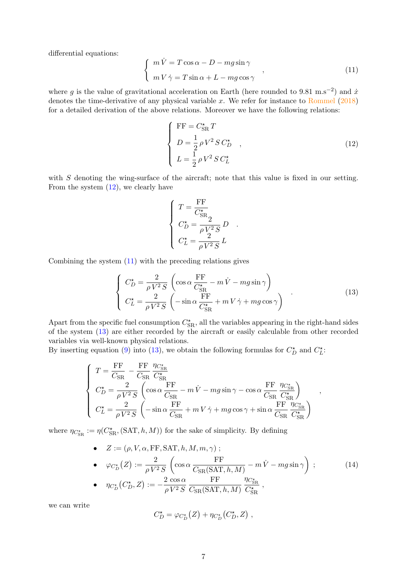differential equations:

<span id="page-6-2"></span>
$$
\begin{cases}\n m\dot{V} = T\cos\alpha - D - mg\sin\gamma \\
 mV\dot{\gamma} = T\sin\alpha + L - mg\cos\gamma\n\end{cases}
$$
\n(11)

where g is the value of gravitational acceleration on Earth (here rounded to 9.81 m.s<sup>-2</sup>) and  $\dot{x}$ denotes the time-derivative of any physical variable  $x$ . We refer for instance to [Rommel](#page-14-14) [\(2018\)](#page-14-14) for a detailed derivation of the above relations. Moreover we have the following relations:

<span id="page-6-1"></span>
$$
\begin{cases}\n\text{FF} = C_{\text{SR}}^{\star} T \\
D = \frac{1}{2} \rho V^2 S C_D^{\star} \\
L = \frac{1}{2} \rho V^2 S C_L^{\star}\n\end{cases}
$$
\n(12)

with  $S$  denoting the wing-surface of the aircraft; note that this value is fixed in our setting. From the system  $(12)$ , we clearly have

$$
\left\{ \begin{array}{l} T = \frac{\text{FF}}{C_{\text{SR}}^{\star}} \\[1.5ex] C_D^{\star} = \frac{2}{\rho \, V^2 \, S} \, D \\[1.5ex] C_L^{\star} = \frac{2}{\rho \, V^2 \, S} \, L \end{array} \right.
$$

Combining the system [\(11\)](#page-6-2) with the preceding relations gives

<span id="page-6-3"></span>
$$
\begin{cases}\nC_D^* = \frac{2}{\rho V^2 S} \left( \cos \alpha \frac{\text{FF}}{C_{\text{SR}}^*} - m \dot{V} - mg \sin \gamma \right) \\
C_L^* = \frac{2}{\rho V^2 S} \left( -\sin \alpha \frac{\text{FF}}{C_{\text{SR}}^*} + m V \dot{\gamma} + mg \cos \gamma \right)\n\end{cases} (13)
$$

.

Apart from the specific fuel consumption  $C_{\text{SR}}^{\star}$ , all the variables appearing in the right-hand sides of the system [\(13\)](#page-6-3) are either recorded by the aircraft or easily calculable from other recorded variables via well-known physical relations.

By inserting equation [\(9\)](#page-5-2) into [\(13\)](#page-6-3), we obtain the following formulas for  $C_D^*$  and  $C_L^*$ :

$$
\left\{ \begin{array}{l} T = \frac{\rm FF}{C_{\rm SR}} - \frac{\rm FF}{C_{\rm SR}} \frac{\eta_{C_{\rm SR}^{\star}}}{C_{\rm SR}^{\star}} \\[1.5ex] C_{D}^{\star} = \frac{2}{\rho \, V^2 \, S} \left( \cos \alpha \, \frac{\rm FF}{C_{\rm SR}} - m \, \dot{V} - mg \sin \gamma - \cos \alpha \, \frac{\rm FF}{C_{\rm SR}} \frac{\eta_{C_{\rm SR}^{\star}}}{C_{\rm SR}^{\star}} \right) \\[1.5ex] C_{L}^{\star} = \frac{2}{\rho \, V^2 \, S} \left( -\sin \alpha \, \frac{\rm FF}{C_{\rm SR}} + m \, V \, \dot{\gamma} + mg \cos \gamma + \sin \alpha \, \frac{\rm FF}{C_{\rm SR}} \frac{\eta_{C_{\rm SR}^{\star}}}{C_{\rm SR}^{\star}} \right) \end{array} \right. \; , \label{eq:thetap}
$$

where  $\eta_{C_{\rm SR}^{\star}} := \eta(C_{\rm SR}^{\star},({\rm SAT}, h, M))$  for the sake of simplicity. By defining

\n- \n
$$
Z := (\rho, V, \alpha, \text{FF}, \text{SAT}, h, M, m, \gamma);
$$
\n
\n- \n
$$
\varphi_{C_D^*}(Z) := \frac{2}{\rho V^2 S} \left( \cos \alpha \frac{\text{FF}}{C_{\text{SR}}(\text{SAT}, h, M)} - m \dot{V} - mg \sin \gamma \right);
$$
\n
\n- \n
$$
\eta_{C_D^*}(C_D^*, Z) := -\frac{2 \cos \alpha}{\rho V^2 S} \frac{\text{FF}}{C_{\text{SR}}(\text{SAT}, h, M)} \frac{\eta_{C_{\text{SR}}^*}}{C_{\text{SR}}^*},
$$
\n
\n
\n(14)

we can write

<span id="page-6-0"></span>
$$
C_D^{\star} = \varphi_{C_D^{\star}}(Z) + \eta_{C_D^{\star}}(C_D^{\star}, Z) ,
$$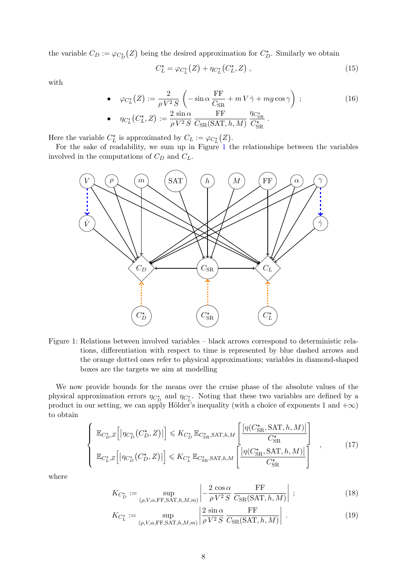the variable  $C_D := \varphi_{C_D^*}(Z)$  being the desired approximation for  $C_D^*$ . Similarly we obtain

<span id="page-7-0"></span>
$$
C_L^* = \varphi_{C_L^*}(Z) + \eta_{C_L^*}(C_L^*, Z) , \qquad (15)
$$

with

• 
$$
\varphi_{C_L^{\star}}(Z) := \frac{2}{\rho V^2 S} \left( -\sin \alpha \frac{\text{FF}}{C_{SR}} + m V \dot{\gamma} + mg \cos \gamma \right);
$$
(16)  
\n• 
$$
\eta_{C_L^{\star}}(C_L^{\star}, Z) := \frac{2 \sin \alpha}{\rho V^2 S} \frac{\text{FF}}{C_{SR}(SAT, h, M)} \frac{\eta_{C_{SR}^{\star}}}{C_{SR}^{\star}}.
$$

Here the variable  $C_L^*$  is approximated by  $C_L := \varphi_{C_L^*}(Z)$ .

For the sake of readability, we sum up in Figure [1](#page-7-1) the relationships between the variables involved in the computations of  $C_D$  and  $C_L$ .



<span id="page-7-1"></span>Figure 1: Relations between involved variables – black arrows correspond to deterministic relations, differentiation with respect to time is represented by blue dashed arrows and the orange dotted ones refer to physical approximations; variables in diamond-shaped boxes are the targets we aim at modelling

We now provide bounds for the means over the cruise phase of the absolute values of the physical approximation errors  $\eta_{C_D^*}$  and  $\eta_{C_L^*}$ . Noting that these two variables are defined by a product in our setting, we can apply Hölder's inequality (with a choice of exponents 1 and  $+\infty$ ) to obtain

<span id="page-7-2"></span>
$$
\begin{cases}\n\mathbb{E}_{C_{D}^{\star},Z}\left[\left|\eta_{C_{D}^{\star}}\left(C_{D}^{\star},Z\right)\right|\right] \leqslant K_{C_{D}^{\star}}\mathbb{E}_{C_{\text{SR}}^{\star},\text{SAT},h,M}\left[\frac{\left|\eta\left(C_{\text{SR}}^{\star},\text{SAT},h,M\right)\right|}{C_{\text{SR}}^{\star}}\right] \\
\mathbb{E}_{C_{L}^{\star},Z}\left[\left|\eta_{C_{D}^{\star}}\left(C_{D}^{\star},Z\right)\right|\right] \leqslant K_{C_{L}^{\star}}\mathbb{E}_{C_{\text{SR}}^{\star},\text{SAT},h,M}\left[\frac{\left|\eta\left(C_{\text{SR}}^{\star},\text{SAT},h,M\right)\right|}{C_{\text{SR}}^{\star}}\right]\n\end{cases},\n\tag{17}
$$

where

<span id="page-7-4"></span><span id="page-7-3"></span>
$$
K_{C_D^*} := \sup_{(\rho, V, \alpha, \text{FF}, \text{SAT}, h, M, m)} \left| -\frac{2 \cos \alpha}{\rho V^2 S} \frac{\text{FF}}{C_{\text{SR}}(\text{SAT}, h, M)} \right| ; \tag{18}
$$

$$
K_{C_L^*} := \sup_{(\rho, V, \alpha, \text{FF}, \text{SAT}, h, M, m)} \left| \frac{2 \sin \alpha}{\rho V^2 S} \frac{\text{FF}}{C_{\text{SR}}(\text{SAT}, h, M)} \right| \,. \tag{19}
$$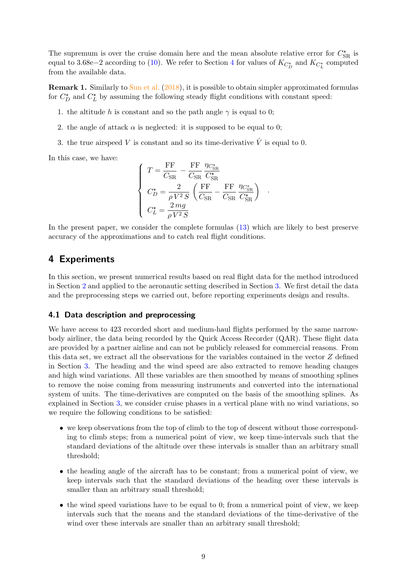The supremum is over the cruise domain here and the mean absolute relative error for  $C_{\text{SR}}^{\star}$  is equal to 3.68e–2 according to [\(10\)](#page-5-3). We refer to Section [4](#page-8-0) for values of  $K_{C_D^{\star}}$  and  $K_{C_L^{\star}}$  computed from the available data.

Remark 1. Similarly to [Sun et al.](#page-14-9) [\(2018\)](#page-14-9), it is possible to obtain simpler approximated formulas for  $C_D^*$  and  $C_L^*$  by assuming the following steady flight conditions with constant speed:

- 1. the altitude h is constant and so the path angle  $\gamma$  is equal to 0;
- 2. the angle of attack  $\alpha$  is neglected: it is supposed to be equal to 0;
- 3. the true airspeed V is constant and so its time-derivative  $\dot{V}$  is equal to 0.

In this case, we have:

$$
\left\{ \begin{array}{l} T = \frac{\mathrm{FF}}{C_\mathrm{SR}} - \frac{\mathrm{FF}}{C_\mathrm{SR}} \frac{\eta_{C^{\star}_{\mathrm{SR}}}}{C^{\star}_{\mathrm{SR}}} \\ \\ C^{\star}_D = \frac{2}{\rho \, V^2 \, S} \, \left( \frac{\mathrm{FF}}{C_\mathrm{SR}} - \frac{\mathrm{FF}}{C_\mathrm{SR}} \frac{\eta_{C^{\star}_{\mathrm{SR}}}}{C^{\star}_{\mathrm{SR}}} \right) \\ \\ C^{\star}_L = \frac{2 \, mg}{\rho \, V^2 \, S} \end{array} \right.
$$

.

In the present paper, we consider the complete formulas  $(13)$  which are likely to best preserve accuracy of the approximations and to catch real flight conditions.

### <span id="page-8-0"></span>4 Experiments

In this section, we present numerical results based on real flight data for the method introduced in Section [2](#page-2-0) and applied to the aeronautic setting described in Section [3.](#page-4-0) We first detail the data and the preprocessing steps we carried out, before reporting experiments design and results.

#### 4.1 Data description and preprocessing

We have access to 423 recorded short and medium-haul flights performed by the same narrowbody airliner, the data being recorded by the Quick Access Recorder (QAR). These flight data are provided by a partner airline and can not be publicly released for commercial reasons. From this data set, we extract all the observations for the variables contained in the vector Z defined in Section [3.](#page-4-0) The heading and the wind speed are also extracted to remove heading changes and high wind variations. All these variables are then smoothed by means of smoothing splines to remove the noise coming from measuring instruments and converted into the international system of units. The time-derivatives are computed on the basis of the smoothing splines. As explained in Section [3,](#page-4-0) we consider cruise phases in a vertical plane with no wind variations, so we require the following conditions to be satisfied:

- we keep observations from the top of climb to the top of descent without those corresponding to climb steps; from a numerical point of view, we keep time-intervals such that the standard deviations of the altitude over these intervals is smaller than an arbitrary small threshold;
- the heading angle of the aircraft has to be constant; from a numerical point of view, we keep intervals such that the standard deviations of the heading over these intervals is smaller than an arbitrary small threshold;
- $\bullet$  the wind speed variations have to be equal to 0; from a numerical point of view, we keep intervals such that the means and the standard deviations of the time-derivative of the wind over these intervals are smaller than an arbitrary small threshold;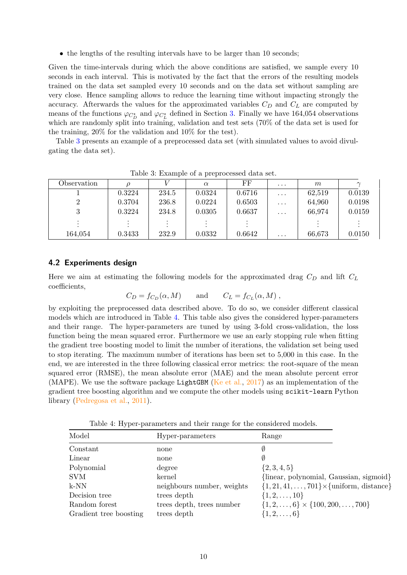• the lengths of the resulting intervals have to be larger than 10 seconds;

Given the time-intervals during which the above conditions are satisfied, we sample every 10 seconds in each interval. This is motivated by the fact that the errors of the resulting models trained on the data set sampled every 10 seconds and on the data set without sampling are very close. Hence sampling allows to reduce the learning time without impacting strongly the accuracy. Afterwards the values for the approximated variables  $C_D$  and  $C_L$  are computed by means of the functions  $\varphi_{C_D^{\star}}$  and  $\varphi_{C_L^{\star}}$  defined in Section [3.](#page-4-0) Finally we have 164,054 observations which are randomly split into training, validation and test sets (70% of the data set is used for the training, 20% for the validation and 10% for the test).

Table [3](#page-9-0) presents an example of a preprocessed data set (with simulated values to avoid divulgating the data set).

| Observation |        |       | $\alpha$ | FF     | $\cdot$ $\cdot$ $\cdot$ | m      |        |
|-------------|--------|-------|----------|--------|-------------------------|--------|--------|
|             | 0.3224 | 234.5 | 0.0324   | 0.6716 | $\cdot$ $\cdot$ $\cdot$ | 62,519 | 0.0139 |
| 2           | 0.3704 | 236.8 | 0.0224   | 0.6503 | $\cdot$ $\cdot$ $\cdot$ | 64,960 | 0.0198 |
| IJ          | 0.3224 | 234.8 | 0.0305   | 0.6637 | $\cdot$ $\cdot$ $\cdot$ | 66,974 | 0.0159 |
|             |        |       |          |        |                         |        |        |
| 164,054     | 0.3433 | 232.9 | 0.0332   | 0.6642 | $\cdots$                | 66,673 | 0.0150 |

<span id="page-9-0"></span>Table 3: Example of a preprocessed data set.

#### 4.2 Experiments design

Here we aim at estimating the following models for the approximated drag  $C_D$  and lift  $C_L$ coefficients,

$$
C_D = f_{C_D}(\alpha, M) \quad \text{and} \quad C_L = f_{C_L}(\alpha, M) ,
$$

by exploiting the preprocessed data described above. To do so, we consider different classical models which are introduced in Table [4.](#page-9-1) This table also gives the considered hyper-parameters and their range. The hyper-parameters are tuned by using 3-fold cross-validation, the loss function being the mean squared error. Furthermore we use an early stopping rule when fitting the gradient tree boosting model to limit the number of iterations, the validation set being used to stop iterating. The maximum number of iterations has been set to 5,000 in this case. In the end, we are interested in the three following classical error metrics: the root-square of the mean squared error (RMSE), the mean absolute error (MAE) and the mean absolute percent error (MAPE). We use the software package LightGBM [\(Ke et al.,](#page-14-15) [2017\)](#page-14-15) as an implementation of the gradient tree boosting algorithm and we compute the other models using scikit-learn Python library [\(Pedregosa et al.,](#page-14-16) [2011\)](#page-14-16).

<span id="page-9-1"></span>Table 4: Hyper-parameters and their range for the considered models.

| Model                  | Hyper-parameters           | Range                                                                    |
|------------------------|----------------------------|--------------------------------------------------------------------------|
| Constant               | none                       | Ø                                                                        |
| Linear                 | none                       |                                                                          |
| Polynomial             | degree                     | $\{2,3,4,5\}$                                                            |
| <b>SVM</b>             | kernel                     | {linear, polynomial, Gaussian, sigmoid}                                  |
| $k-NN$                 | neighbours number, weights | $\{1, 21, 41, \ldots, 701\} \times \{\text{uniform}, \text{distance}\}\$ |
| Decision tree          | trees depth                | $\{1, 2, \ldots, 10\}$                                                   |
| Random forest          | trees depth, trees number  | $\{1, 2, \ldots, 6\} \times \{100, 200, \ldots, 700\}$                   |
| Gradient tree boosting | trees depth                | $\{1, 2, \ldots, 6\}$                                                    |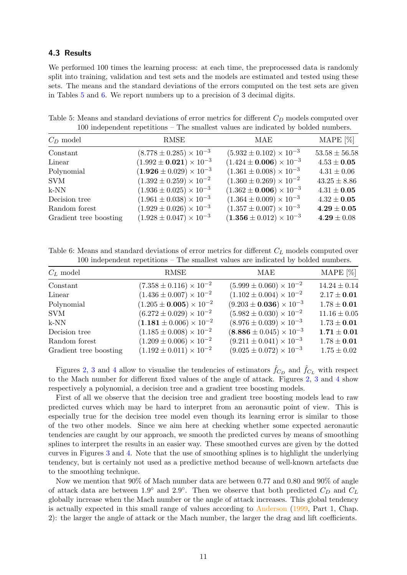#### 4.3 Results

We performed 100 times the learning process: at each time, the preprocessed data is randomly split into training, validation and test sets and the models are estimated and tested using these sets. The means and the standard deviations of the errors computed on the test sets are given in Tables [5](#page-10-0) and [6.](#page-10-1) We report numbers up to a precision of 3 decimal digits.

<span id="page-10-0"></span>Table 5: Means and standard deviations of error metrics for different  $C_D$  models computed over 100 independent repetitions – The smallest values are indicated by bolded numbers.

| $C_D$ model            | <b>RMSE</b>                        | MAE                                | MAPE $[\%]$       |
|------------------------|------------------------------------|------------------------------------|-------------------|
| Constant               | $(8.778 \pm 0.285) \times 10^{-3}$ | $(5.932 \pm 0.102) \times 10^{-3}$ | $53.58 \pm 56.58$ |
| Linear                 | $(1.992 \pm 0.021) \times 10^{-3}$ | $(1.424 \pm 0.006) \times 10^{-3}$ | $4.53 \pm 0.05$   |
| Polynomial             | $(1.926 \pm 0.029) \times 10^{-3}$ | $(1.361 \pm 0.008) \times 10^{-3}$ | $4.31 \pm 0.06$   |
| <b>SVM</b>             | $(1.392 \pm 0.259) \times 10^{-2}$ | $(1.360 \pm 0.269) \times 10^{-2}$ | $43.25 \pm 8.86$  |
| $k-NN$                 | $(1.936 \pm 0.025) \times 10^{-3}$ | $(1.362 \pm 0.006) \times 10^{-3}$ | $4.31 \pm 0.05$   |
| Decision tree          | $(1.961 \pm 0.038) \times 10^{-3}$ | $(1.364 \pm 0.009) \times 10^{-3}$ | $4.32 \pm 0.05$   |
| Random forest          | $(1.929 \pm 0.026) \times 10^{-3}$ | $(1.357 \pm 0.007) \times 10^{-3}$ | $4.29 \pm 0.05$   |
| Gradient tree boosting | $(1.928 \pm 0.047) \times 10^{-3}$ | $(1.356 \pm 0.012) \times 10^{-3}$ | $4.29 \pm 0.08$   |

<span id="page-10-1"></span>Table 6: Means and standard deviations of error metrics for different  $C_L$  models computed over 100 independent repetitions – The smallest values are indicated by bolded numbers.

| $C_L$ model            | <b>RMSE</b>                        | MAE                                        | MAPE $[\%]$      |
|------------------------|------------------------------------|--------------------------------------------|------------------|
| Constant               | $(7.358 \pm 0.116) \times 10^{-2}$ | $(5.999 \pm 0.060) \times 10^{-2}$         | $14.24 \pm 0.14$ |
| Linear                 | $(1.436 \pm 0.007) \times 10^{-2}$ | $(1.102 \pm 0.004) \times 10^{-2}$         | $2.17 \pm 0.01$  |
| Polynomial             | $(1.205 \pm 0.005) \times 10^{-2}$ | $(9.203 \pm 0.036) \times 10^{-3}$         | $1.78 \pm 0.01$  |
| <b>SVM</b>             | $(6.272 \pm 0.029) \times 10^{-2}$ | $(5.982 \pm 0.030) \times 10^{-2}$         | $11.16 \pm 0.05$ |
| $k-NN$                 | $(1.181 \pm 0.006) \times 10^{-2}$ | $(8.976 \pm 0.039) \times 10^{-3}$         | $1.73 \pm 0.01$  |
| Decision tree          | $(1.185 \pm 0.008) \times 10^{-2}$ | $(\mathbf{8.886} \pm 0.045)\times 10^{-3}$ | $1.71 \pm 0.01$  |
| Random forest          | $(1.209 \pm 0.006) \times 10^{-2}$ | $(9.211 \pm 0.041) \times 10^{-3}$         | $1.78 \pm 0.01$  |
| Gradient tree boosting | $(1.192 \pm 0.011) \times 10^{-2}$ | $(9.025 \pm 0.072) \times 10^{-3}$         | $1.75 \pm 0.02$  |
|                        |                                    |                                            |                  |

Figures [2,](#page-11-0) [3](#page-11-1) and [4](#page-12-0) allow to visualise the tendencies of estimators  $\hat{f}_{C_D}$  and  $\hat{f}_{C_L}$  with respect to the Mach number for different fixed values of the angle of attack. Figures [2,](#page-11-0) [3](#page-11-1) and [4](#page-12-0) show respectively a polynomial, a decision tree and a gradient tree boosting models.

First of all we observe that the decision tree and gradient tree boosting models lead to raw predicted curves which may be hard to interpret from an aeronautic point of view. This is especially true for the decision tree model even though its learning error is similar to those of the two other models. Since we aim here at checking whether some expected aeronautic tendencies are caught by our approach, we smooth the predicted curves by means of smoothing splines to interpret the results in an easier way. These smoothed curves are given by the dotted curves in Figures [3](#page-11-1) and [4.](#page-12-0) Note that the use of smoothing splines is to highlight the underlying tendency, but is certainly not used as a predictive method because of well-known artefacts due to the smoothing technique.

Now we mention that 90% of Mach number data are between 0.77 and 0.80 and 90% of angle of attack data are between 1.9° and 2.9°. Then we observe that both predicted  $C_D$  and  $C_L$ globally increase when the Mach number or the angle of attack increases. This global tendency is actually expected in this small range of values according to [Anderson](#page-14-10) [\(1999,](#page-14-10) Part 1, Chap. 2): the larger the angle of attack or the Mach number, the larger the drag and lift coefficients.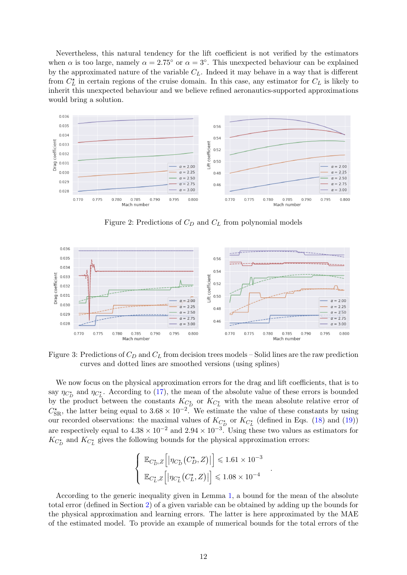Nevertheless, this natural tendency for the lift coefficient is not verified by the estimators when  $\alpha$  is too large, namely  $\alpha = 2.75^{\circ}$  or  $\alpha = 3^{\circ}$ . This unexpected behaviour can be explained by the approximated nature of the variable  $C_L$ . Indeed it may behave in a way that is different from  $C_L^{\star}$  in certain regions of the cruise domain. In this case, any estimator for  $C_L$  is likely to inherit this unexpected behaviour and we believe refined aeronautics-supported approximations would bring a solution.



<span id="page-11-0"></span>Figure 2: Predictions of  $C_D$  and  $C_L$  from polynomial models



<span id="page-11-1"></span>Figure 3: Predictions of  $C_D$  and  $C_L$  from decision trees models – Solid lines are the raw prediction curves and dotted lines are smoothed versions (using splines)

We now focus on the physical approximation errors for the drag and lift coefficients, that is to say  $\eta_{C_D^*}$  and  $\eta_{C_L^*}$ . According to [\(17\)](#page-7-2), the mean of the absolute value of these errors is bounded by the product between the constants  $K_{C_D^{\star}}$  or  $K_{C_L^{\star}}$  with the mean absolute relative error of  $C_{\rm SR}^{\star}$ , the latter being equal to  $3.68 \times 10^{-2}$ . We estimate the value of these constants by using our recorded observations: the maximal values of  $K_{C_D^{\star}}$  or  $K_{C_L^{\star}}$  (defined in Eqs. [\(18\)](#page-7-3) and [\(19\)](#page-7-4)) are respectively equal to  $4.38 \times 10^{-2}$  and  $2.94 \times 10^{-3}$ . Using these two values as estimators for  $K_{C_{D}^{\star}}$  and  $K_{C_{L}^{\star}}$  gives the following bounds for the physical approximation errors:

$$
\left\{ \begin{array}{l} \mathbb{E}_{C_{D}^{\star},Z}\Big[\big|\eta_{C_{D}^{\star}}\big(C_{D}^{\star},Z\big)\big|\Big] \leqslant 1.61\times10^{-3} \\ \mathbb{E}_{C_{L}^{\star},Z}\Big[\big|\eta_{C_{L}^{\star}}\big(C_{L}^{\star},Z\big)\big|\Big] \leqslant 1.08\times10^{-4} \end{array} \right.
$$

.

According to the generic inequality given in Lemma [1,](#page-3-0) a bound for the mean of the absolute total error (defined in Section [2\)](#page-2-0) of a given variable can be obtained by adding up the bounds for the physical approximation and learning errors. The latter is here approximated by the MAE of the estimated model. To provide an example of numerical bounds for the total errors of the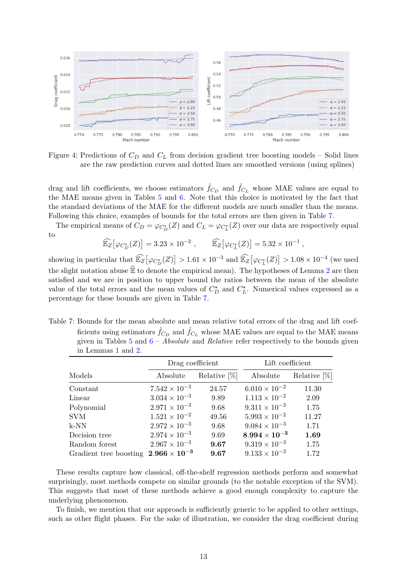

<span id="page-12-0"></span>Figure 4: Predictions of  $C_D$  and  $C_L$  from decision gradient tree boosting models – Solid lines are the raw prediction curves and dotted lines are smoothed versions (using splines)

drag and lift coefficients, we choose estimators  $\hat{f}_{C_D}$  and  $\hat{f}_{C_L}$  whose MAE values are equal to the MAE means given in Tables [5](#page-10-0) and [6.](#page-10-1) Note that this choice is motivated by the fact that the standard deviations of the MAE for the different models are much smaller than the means. Following this choice, examples of bounds for the total errors are then given in Table [7.](#page-12-1)

The empirical means of  $C_D = \varphi_{C_D^{\star}}(Z)$  and  $C_L = \varphi_{C_L^{\star}}(Z)$  over our data are respectively equal to

$$
\widehat{\mathbb{E}_Z}[\varphi_{C_D^{\star}}(Z)] = 3.23 \times 10^{-2} , \qquad \widehat{\mathbb{E}_Z}[\varphi_{C_L^{\star}}(Z)] = 5.32 \times 10^{-1} ,
$$

showing in particular that  $\widehat{\mathbb{E}_Z}[\varphi_{C_D^*}(Z)] > 1.61 \times 10^{-3}$  and  $\widehat{\mathbb{E}_Z}[\varphi_{C_L^*}(Z)] > 1.08 \times 10^{-4}$  (we used the slight notation abuse  $\widehat{\mathbb{E}}$  to denote the empirical mean). The hypotheses of Lemma [2](#page-3-1) are then satisfied and we are in position to upper bound the ratios between the mean of the absolute value of the total errors and the mean values of  $C_D^*$  and  $C_L^*$ . Numerical values expressed as a percentage for these bounds are given in Table [7.](#page-12-1)

<span id="page-12-1"></span>Table 7: Bounds for the mean absolute and mean relative total errors of the drag and lift coefficients using estimators  $\hat{f}_{C_D}$  and  $\hat{f}_{C_L}$  whose MAE values are equal to the MAE means given in Tables  $5$  and  $6 - Absolute$  $6 - Absolute$  and *Relative* refer respectively to the bounds given in Lemmas [1](#page-3-0) and [2.](#page-3-1)

|                        | Drag coefficient       |                 | Lift coefficient       |              |
|------------------------|------------------------|-----------------|------------------------|--------------|
| Models                 | Absolute               | Relative $[\%]$ | Absolute               | Relative [%] |
| Constant               | $7.542 \times 10^{-3}$ | 24.57           | $6.010 \times 10^{-2}$ | 11.30        |
| Linear                 | $3.034 \times 10^{-3}$ | 9.89            | $1.113 \times 10^{-2}$ | 2.09         |
| Polynomial             | $2.971 \times 10^{-3}$ | 9.68            | $9.311 \times 10^{-3}$ | 1.75         |
| <b>SVM</b>             | $1.521 \times 10^{-2}$ | 49.56           | $5.993 \times 10^{-2}$ | 11.27        |
| $k-NN$                 | $2.972 \times 10^{-3}$ | 9.68            | $9.084 \times 10^{-3}$ | 1.71         |
| Decision tree          | $2.974 \times 10^{-3}$ | 9.69            | $8.994\times10^{-3}$   | 1.69         |
| Random forest          | $2.967 \times 10^{-3}$ | 9.67            | $9.319 \times 10^{-3}$ | 1.75         |
| Gradient tree boosting | $2.966\times10^{-3}$   | 9.67            | $9.133 \times 10^{-3}$ | 1.72         |

These results capture how classical, off-the-shelf regression methods perform and somewhat surprisingly, most methods compete on similar grounds (to the notable exception of the SVM). This suggests that most of these methods achieve a good enough complexity to capture the underlying phenomenon.

To finish, we mention that our approach is sufficiently generic to be applied to other settings, such as other flight phases. For the sake of illustration, we consider the drag coefficient during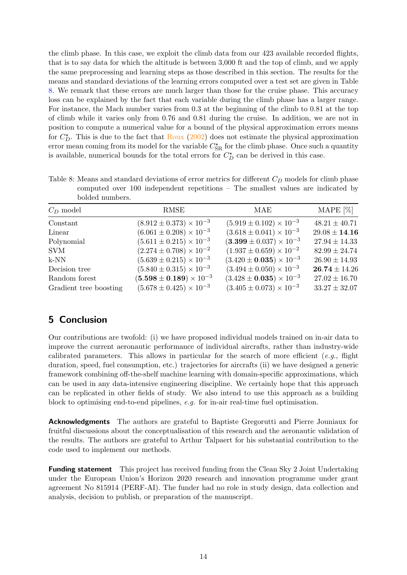the climb phase. In this case, we exploit the climb data from our 423 available recorded flights, that is to say data for which the altitude is between 3,000 ft and the top of climb, and we apply the same preprocessing and learning steps as those described in this section. The results for the means and standard deviations of the learning errors computed over a test set are given in Table [8.](#page-13-1) We remark that these errors are much larger than those for the cruise phase. This accuracy loss can be explained by the fact that each variable during the climb phase has a larger range. For instance, the Mach number varies from 0.3 at the beginning of the climb to 0.81 at the top of climb while it varies only from 0.76 and 0.81 during the cruise. In addition, we are not in position to compute a numerical value for a bound of the physical approximation errors means for  $C_D^*$ . This is due to the fact that [Roux](#page-14-12) [\(2002\)](#page-14-12) does not estimate the physical approximation error mean coming from its model for the variable  $C_{\rm SR}^*$  for the climb phase. Once such a quantity is available, numerical bounds for the total errors for  $C_D^{\star}$  can be derived in this case.

<span id="page-13-1"></span>Table 8: Means and standard deviations of error metrics for different  $C_D$  models for climb phase computed over 100 independent repetitions – The smallest values are indicated by bolded numbers.

| $C_D$ model            | RMSE                                    | MAE                                | MAPE $[\%]$       |
|------------------------|-----------------------------------------|------------------------------------|-------------------|
| Constant               | $(8.912 \pm 0.373) \times 10^{-3}$      | $(5.919 \pm 0.102) \times 10^{-3}$ | $48.21 \pm 40.71$ |
| Linear                 | $(6.061 \pm 0.208) \times 10^{-3}$      | $(3.618 \pm 0.041) \times 10^{-3}$ | $29.08 \pm 14.16$ |
| Polynomial             | $(5.611 \pm 0.215) \times 10^{-3}$      | $(3.399 \pm 0.037) \times 10^{-3}$ | $27.94 \pm 14.33$ |
| <b>SVM</b>             | $(2.274 \pm 0.708) \times 10^{-2}$      | $(1.937 \pm 0.659) \times 10^{-2}$ | $82.99 \pm 24.74$ |
| $k-NN$                 | $(5.639 \pm 0.215) \times 10^{-3}$      | $(3.420 \pm 0.035) \times 10^{-3}$ | $26.90 \pm 14.93$ |
| Decision tree          | $(5.840 \pm 0.315) \times 10^{-3}$      | $(3.494 \pm 0.050) \times 10^{-3}$ | $26.74 \pm 14.26$ |
| Random forest          | $({\bf 5.598 \pm 0.189})\times 10^{-3}$ | $(3.428 \pm 0.035) \times 10^{-3}$ | $27.02 \pm 16.70$ |
| Gradient tree boosting | $(5.678 \pm 0.425) \times 10^{-3}$      | $(3.405 \pm 0.073) \times 10^{-3}$ | $33.27 \pm 32.07$ |
|                        |                                         |                                    |                   |

## <span id="page-13-0"></span>5 Conclusion

Our contributions are twofold: (i) we have proposed individual models trained on in-air data to improve the current aeronautic performance of individual aircrafts, rather than industry-wide calibrated parameters. This allows in particular for the search of more efficient (e.g., flight duration, speed, fuel consumption, etc.) trajectories for aircrafts (ii) we have designed a generic framework combining off-the-shelf machine learning with domain-specific approximations, which can be used in any data-intensive engineering discipline. We certainly hope that this approach can be replicated in other fields of study. We also intend to use this approach as a building block to optimising end-to-end pipelines, e.g. for in-air real-time fuel optimisation.

Acknowledgments The authors are grateful to Baptiste Gregorutti and Pierre Jouniaux for fruitful discussions about the conceptualisation of this research and the aeronautic validation of the results. The authors are grateful to Arthur Talpaert for his substantial contribution to the code used to implement our methods.

**Funding statement** This project has received funding from the Clean Sky 2 Joint Undertaking under the European Union's Horizon 2020 research and innovation programme under grant agreement No 815914 (PERF-AI). The funder had no role in study design, data collection and analysis, decision to publish, or preparation of the manuscript.